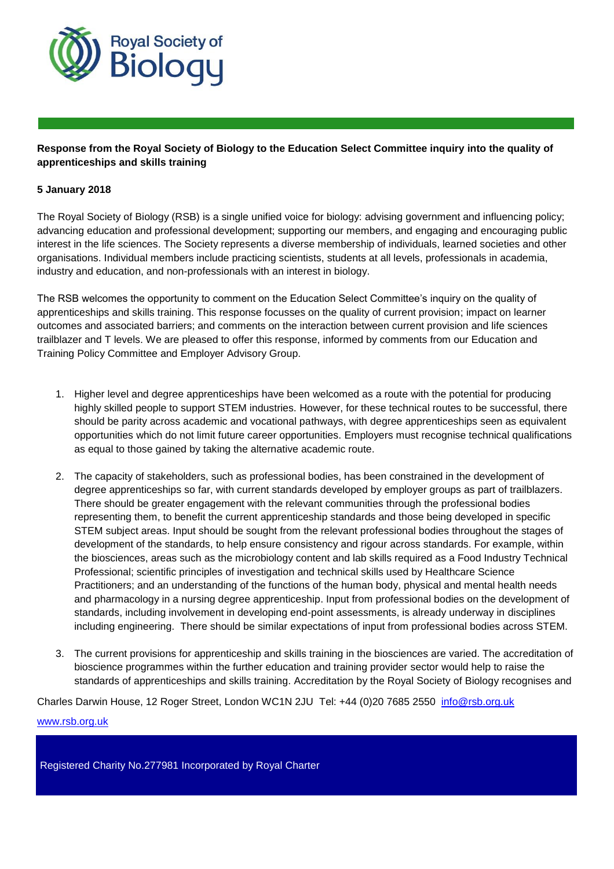

## **Response from the Royal Society of Biology to the Education Select Committee inquiry into the quality of apprenticeships and skills training**

## **5 January 2018**

The Royal Society of Biology (RSB) is a single unified voice for biology: advising government and influencing policy; advancing education and professional development; supporting our members, and engaging and encouraging public interest in the life sciences. The Society represents a diverse membership of individuals, learned societies and other organisations. Individual members include practicing scientists, students at all levels, professionals in academia, industry and education, and non-professionals with an interest in biology.

The RSB welcomes the opportunity to comment on the Education Select Committee's inquiry on the quality of apprenticeships and skills training. This response focusses on the quality of current provision; impact on learner outcomes and associated barriers; and comments on the interaction between current provision and life sciences trailblazer and T levels. We are pleased to offer this response, informed by comments from our Education and Training Policy Committee and Employer Advisory Group.

- 1. Higher level and degree apprenticeships have been welcomed as a route with the potential for producing highly skilled people to support STEM industries. However, for these technical routes to be successful, there should be parity across academic and vocational pathways, with degree apprenticeships seen as equivalent opportunities which do not limit future career opportunities. Employers must recognise technical qualifications as equal to those gained by taking the alternative academic route.
- 2. The capacity of stakeholders, such as professional bodies, has been constrained in the development of degree apprenticeships so far, with current standards developed by employer groups as part of trailblazers. There should be greater engagement with the relevant communities through the professional bodies representing them, to benefit the current apprenticeship standards and those being developed in specific STEM subject areas. Input should be sought from the relevant professional bodies throughout the stages of development of the standards, to help ensure consistency and rigour across standards. For example, within the biosciences, areas such as the microbiology content and lab skills required as a Food Industry Technical Professional; scientific principles of investigation and technical skills used by Healthcare Science Practitioners; and an understanding of the functions of the human body, physical and mental health needs and pharmacology in a nursing degree apprenticeship. Input from professional bodies on the development of standards, including involvement in developing end-point assessments, is already underway in disciplines including engineering. There should be similar expectations of input from professional bodies across STEM.
- 3. The current provisions for apprenticeship and skills training in the biosciences are varied. The accreditation of bioscience programmes within the further education and training provider sector would help to raise the standards of apprenticeships and skills training. Accreditation by the Royal Society of Biology recognises and

Charles Darwin House, 12 Roger Street, London WC1N 2JU Tel: +44 (0)20 7685 2550 [info@rsb.org.uk](mailto:info@rsb.org.uk)

www.rsb.org.uk

Registered Charity No.277981 Incorporated by Royal Charter